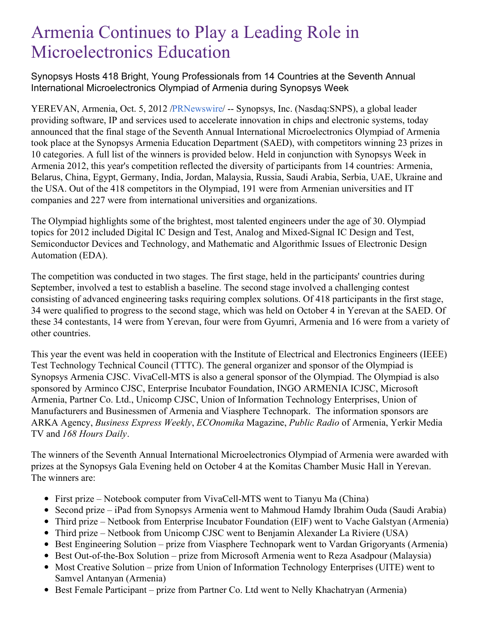# Armenia Continues to Play a Leading Role in Microelectronics Education

Synopsys Hosts 418 Bright, Young Professionals from 14 Countries at the Seventh Annual International Microelectronics Olympiad of Armenia during Synopsys Week

YEREVAN, Armenia, Oct. 5, 2012 [/PRNewswire](http://www.prnewswire.com/)/ -- Synopsys, Inc. (Nasdaq:SNPS), a global leader providing software, IP and services used to accelerate innovation in chips and electronic systems, today announced that the final stage of the Seventh Annual International Microelectronics Olympiad of Armenia took place at the Synopsys Armenia Education Department (SAED), with competitors winning 23 prizes in 10 categories. A full list of the winners is provided below. Held in conjunction with Synopsys Week in Armenia 2012, this year's competition reflected the diversity of participants from 14 countries: Armenia, Belarus, China, Egypt, Germany, India, Jordan, Malaysia, Russia, Saudi Arabia, Serbia, UAE, Ukraine and the USA. Out of the 418 competitors in the Olympiad, 191 were from Armenian universities and IT companies and 227 were from international universities and organizations.

The Olympiad highlights some of the brightest, most talented engineers under the age of 30. Olympiad topics for 2012 included Digital IC Design and Test, Analog and Mixed-Signal IC Design and Test, Semiconductor Devices and Technology, and Mathematic and Algorithmic Issues of Electronic Design Automation (EDA).

The competition was conducted in two stages. The first stage, held in the participants' countries during September, involved a test to establish a baseline. The second stage involved a challenging contest consisting of advanced engineering tasks requiring complex solutions. Of 418 participants in the first stage, 34 were qualified to progress to the second stage, which was held on October 4 in Yerevan at the SAED. Of these 34 contestants, 14 were from Yerevan, four were from Gyumri, Armenia and 16 were from a variety of other countries.

This year the event was held in cooperation with the Institute of Electrical and Electronics Engineers (IEEE) Test Technology Technical Council (TTTC). The general organizer and sponsor of the Olympiad is Synopsys Armenia CJSC. VivaCell-MTS is also a general sponsor of the Olympiad. The Olympiad is also sponsored by Arminco CJSC, Enterprise Incubator Foundation, INGO ARMENIA ICJSC, Microsoft Armenia, Partner Co. Ltd., Unicomp CJSC, Union of Information Technology Enterprises, Union of Manufacturers and Businessmen of Armenia and Viasphere Technopark. The information sponsors are ARKA Agency, *Business Express Weekly*, *ECOnomika* Magazine, *Public Radio* of Armenia, Yerkir Media TV and *168 Hours Daily*.

The winners of the Seventh Annual International Microelectronics Olympiad of Armenia were awarded with prizes at the Synopsys Gala Evening held on October 4 at the Komitas Chamber Music Hall in Yerevan. The winners are:

- First prize Notebook computer from VivaCell-MTS went to Tianyu Ma (China)
- Second prize iPad from Synopsys Armenia went to Mahmoud Hamdy Ibrahim Ouda (Saudi Arabia)
- Third prize Netbook from Enterprise Incubator Foundation (EIF) went to Vache Galstyan (Armenia)
- Third prize Netbook from Unicomp CJSC went to Benjamin Alexander La Riviere (USA)
- Best Engineering Solution prize from Viasphere Technopark went to Vardan Grigoryants (Armenia)
- Best Out-of-the-Box Solution prize from Microsoft Armenia went to Reza Asadpour (Malaysia)
- Most Creative Solution prize from Union of Information Technology Enterprises (UITE) went to Samvel Antanyan (Armenia)
- Best Female Participant prize from Partner Co. Ltd went to Nelly Khachatryan (Armenia)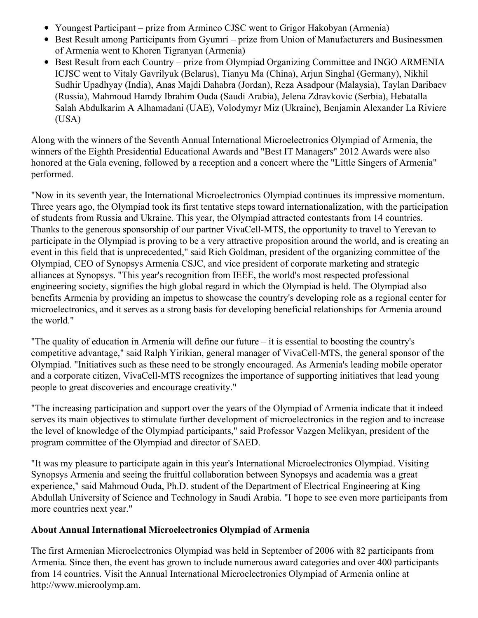- Youngest Participant prize from Arminco CJSC went to Grigor Hakobyan (Armenia)
- Best Result among Participants from Gyumri prize from Union of Manufacturers and Businessmen of Armenia went to Khoren Tigranyan (Armenia)
- Best Result from each Country prize from Olympiad Organizing Committee and INGO ARMENIA ICJSC went to Vitaly Gavrilyuk (Belarus), Tianyu Ma (China), Arjun Singhal (Germany), Nikhil Sudhir Upadhyay (India), Anas Majdi Dahabra (Jordan), Reza Asadpour (Malaysia), Taylan Daribaev (Russia), Mahmoud Hamdy Ibrahim Ouda (Saudi Arabia), Jelena Zdravkovic (Serbia), Hebatalla Salah Abdulkarim A Alhamadani (UAE), Volodymyr Miz (Ukraine), Benjamin Alexander La Riviere (USA)

Along with the winners of the Seventh Annual International Microelectronics Olympiad of Armenia, the winners of the Eighth Presidential Educational Awards and "Best IT Managers" 2012 Awards were also honored at the Gala evening, followed by a reception and a concert where the "Little Singers of Armenia" performed.

"Now in its seventh year, the International Microelectronics Olympiad continues its impressive momentum. Three years ago, the Olympiad took its first tentative steps toward internationalization, with the participation of students from Russia and Ukraine. This year, the Olympiad attracted contestants from 14 countries. Thanks to the generous sponsorship of our partner VivaCell-MTS, the opportunity to travel to Yerevan to participate in the Olympiad is proving to be a very attractive proposition around the world, and is creating an event in this field that is unprecedented," said Rich Goldman, president of the organizing committee of the Olympiad, CEO of Synopsys Armenia CSJC, and vice president of corporate marketing and strategic alliances at Synopsys. "This year's recognition from IEEE, the world's most respected professional engineering society, signifies the high global regard in which the Olympiad is held. The Olympiad also benefits Armenia by providing an impetus to showcase the country's developing role as a regional center for microelectronics, and it serves as a strong basis for developing beneficial relationships for Armenia around the world."

"The quality of education in Armenia will define our future – it is essential to boosting the country's competitive advantage," said Ralph Yirikian, general manager of VivaCell-MTS, the general sponsor of the Olympiad. "Initiatives such as these need to be strongly encouraged. As Armenia's leading mobile operator and a corporate citizen, VivaCell-MTS recognizes the importance of supporting initiatives that lead young people to great discoveries and encourage creativity."

"The increasing participation and support over the years of the Olympiad of Armenia indicate that it indeed serves its main objectives to stimulate further development of microelectronics in the region and to increase the level of knowledge of the Olympiad participants," said Professor Vazgen Melikyan, president of the program committee of the Olympiad and director of SAED.

"It was my pleasure to participate again in this year's International Microelectronics Olympiad. Visiting Synopsys Armenia and seeing the fruitful collaboration between Synopsys and academia was a great experience," said Mahmoud Ouda, Ph.D. student of the Department of Electrical Engineering at King Abdullah University of Science and Technology in Saudi Arabia. "I hope to see even more participants from more countries next year."

## **About Annual International Microelectronics Olympiad of Armenia**

The first Armenian Microelectronics Olympiad was held in September of 2006 with 82 participants from Armenia. Since then, the event has grown to include numerous award categories and over 400 participants from 14 countries. Visit the Annual International Microelectronics Olympiad of Armenia online at http://www.microolymp.am.